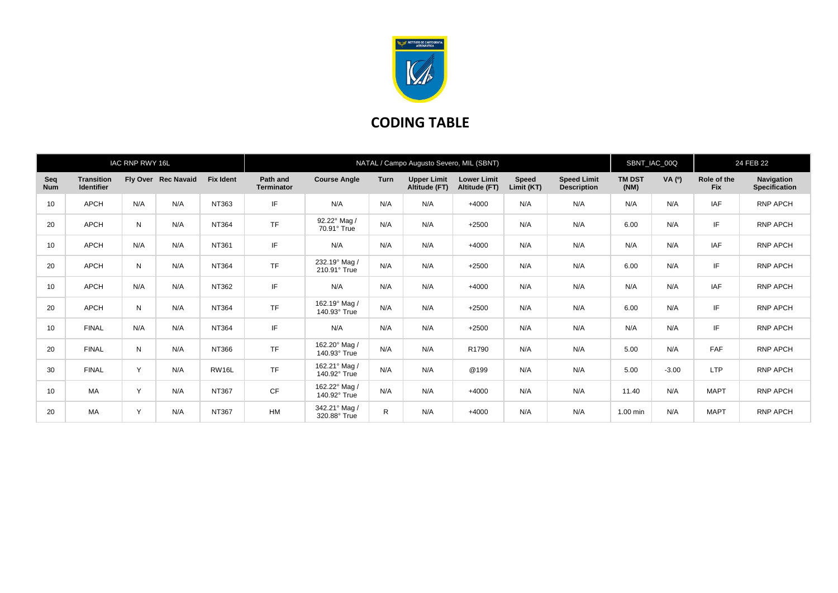

## **CODING TABLE**

| IAC RNP RWY 16L   |                                        |     |                     |                  | NATAL / Campo Augusto Severo, MIL (SBNT) |                               |              |                                     |                                     |                            |                                          |                       | SBNT_IAC_00Q |                           | 24 FEB 22                          |  |
|-------------------|----------------------------------------|-----|---------------------|------------------|------------------------------------------|-------------------------------|--------------|-------------------------------------|-------------------------------------|----------------------------|------------------------------------------|-----------------------|--------------|---------------------------|------------------------------------|--|
| Seq<br><b>Num</b> | <b>Transition</b><br><b>Identifier</b> |     | Fly Over Rec Navaid | <b>Fix Ident</b> | Path and<br><b>Terminator</b>            | <b>Course Angle</b>           | <b>Turn</b>  | <b>Upper Limit</b><br>Altitude (FT) | <b>Lower Limit</b><br>Altitude (FT) | <b>Speed</b><br>Limit (KT) | <b>Speed Limit</b><br><b>Description</b> | <b>TM DST</b><br>(NM) | VA (0)       | Role of the<br><b>Fix</b> | Navigation<br><b>Specification</b> |  |
| 10                | APCH                                   | N/A | N/A                 | NT363            | IF                                       | N/A                           | N/A          | N/A                                 | $+4000$                             | N/A                        | N/A                                      | N/A                   | N/A          | IAF                       | RNP APCH                           |  |
| 20                | <b>APCH</b>                            | N   | N/A                 | NT364            | <b>TF</b>                                | 92.22° Mag /<br>70.91° True   | N/A          | N/A                                 | $+2500$                             | N/A                        | N/A                                      | 6.00                  | N/A          | IF                        | RNP APCH                           |  |
| 10                | APCH                                   | N/A | N/A                 | NT361            | IF                                       | N/A                           | N/A          | N/A                                 | $+4000$                             | N/A                        | N/A                                      | N/A                   | N/A          | <b>IAF</b>                | <b>RNP APCH</b>                    |  |
| 20                | APCH                                   | N   | N/A                 | NT364            | <b>TF</b>                                | 232.19° Mag /<br>210.91° True | N/A          | N/A                                 | $+2500$                             | N/A                        | N/A                                      | 6.00                  | N/A          | IF                        | RNP APCH                           |  |
| 10                | <b>APCH</b>                            | N/A | N/A                 | NT362            | IF                                       | N/A                           | N/A          | N/A                                 | $+4000$                             | N/A                        | N/A                                      | N/A                   | N/A          | <b>IAF</b>                | RNP APCH                           |  |
| 20                | <b>APCH</b>                            | N   | N/A                 | NT364            | <b>TF</b>                                | 162.19° Mag /<br>140.93° True | N/A          | N/A                                 | $+2500$                             | N/A                        | N/A                                      | 6.00                  | N/A          | IF                        | RNP APCH                           |  |
| 10                | <b>FINAL</b>                           | N/A | N/A                 | <b>NT364</b>     | IF                                       | N/A                           | N/A          | N/A                                 | $+2500$                             | N/A                        | N/A                                      | N/A                   | N/A          | IF                        | <b>RNP APCH</b>                    |  |
| 20                | <b>FINAL</b>                           | N   | N/A                 | NT366            | <b>TF</b>                                | 162.20° Mag /<br>140.93° True | N/A          | N/A                                 | R1790                               | N/A                        | N/A                                      | 5.00                  | N/A          | <b>FAF</b>                | <b>RNP APCH</b>                    |  |
| 30                | <b>FINAL</b>                           | Y   | N/A                 | RW16L            | <b>TF</b>                                | 162.21° Mag /<br>140.92° True | N/A          | N/A                                 | @199                                | N/A                        | N/A                                      | 5.00                  | $-3.00$      | <b>LTP</b>                | <b>RNP APCH</b>                    |  |
| 10                | MA                                     | Y   | N/A                 | NT367            | CF                                       | 162.22° Mag /<br>140.92° True | N/A          | N/A                                 | $+4000$                             | N/A                        | N/A                                      | 11.40                 | N/A          | <b>MAPT</b>               | RNP APCH                           |  |
| 20                | <b>MA</b>                              | Y   | N/A                 | NT367            | HM                                       | 342.21° Mag /<br>320.88° True | $\mathsf{R}$ | N/A                                 | $+4000$                             | N/A                        | N/A                                      | 1.00 min              | N/A          | <b>MAPT</b>               | <b>RNP APCH</b>                    |  |